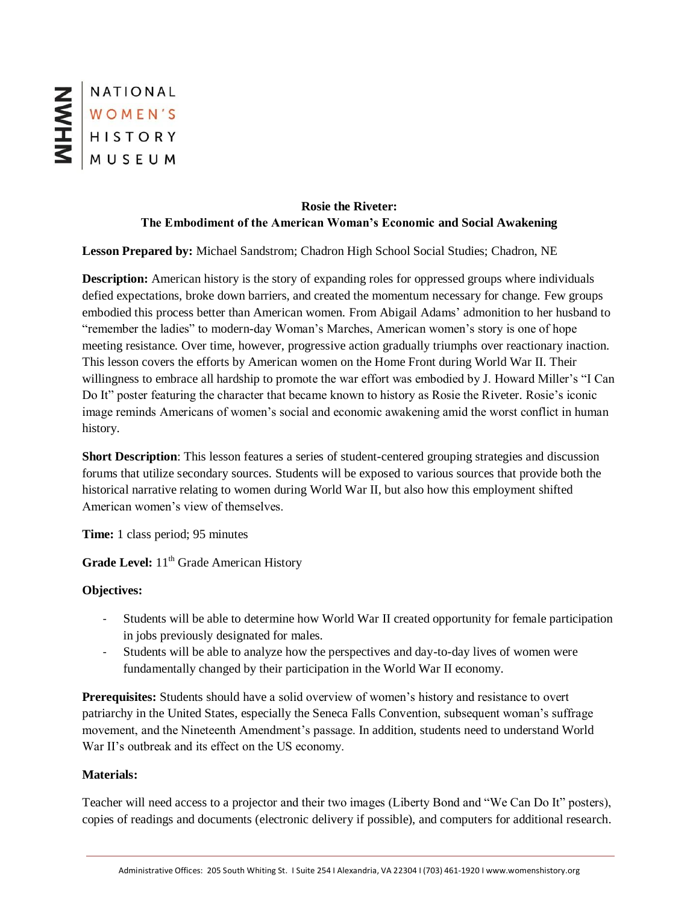NATIONAL WOMEN'S

# **Rosie the Riveter: The Embodiment of the American Woman's Economic and Social Awakening**

**Lesson Prepared by:** Michael Sandstrom; Chadron High School Social Studies; Chadron, NE

**Description:** American history is the story of expanding roles for oppressed groups where individuals defied expectations, broke down barriers, and created the momentum necessary for change. Few groups embodied this process better than American women. From Abigail Adams' admonition to her husband to "remember the ladies" to modern-day Woman's Marches, American women's story is one of hope meeting resistance. Over time, however, progressive action gradually triumphs over reactionary inaction. This lesson covers the efforts by American women on the Home Front during World War II. Their willingness to embrace all hardship to promote the war effort was embodied by J. Howard Miller's "I Can Do It" poster featuring the character that became known to history as Rosie the Riveter. Rosie's iconic image reminds Americans of women's social and economic awakening amid the worst conflict in human history.

**Short Description**: This lesson features a series of student-centered grouping strategies and discussion forums that utilize secondary sources. Students will be exposed to various sources that provide both the historical narrative relating to women during World War II, but also how this employment shifted American women's view of themselves.

**Time:** 1 class period; 95 minutes

**Grade Level:** 11<sup>th</sup> Grade American History

## **Objectives:**

- Students will be able to determine how World War II created opportunity for female participation in jobs previously designated for males.
- Students will be able to analyze how the perspectives and day-to-day lives of women were fundamentally changed by their participation in the World War II economy.

**Prerequisites:** Students should have a solid overview of women's history and resistance to overt patriarchy in the United States, especially the Seneca Falls Convention, subsequent woman's suffrage movement, and the Nineteenth Amendment's passage. In addition, students need to understand World War II's outbreak and its effect on the US economy.

#### **Materials:**

Teacher will need access to a projector and their two images (Liberty Bond and "We Can Do It" posters), copies of readings and documents (electronic delivery if possible), and computers for additional research.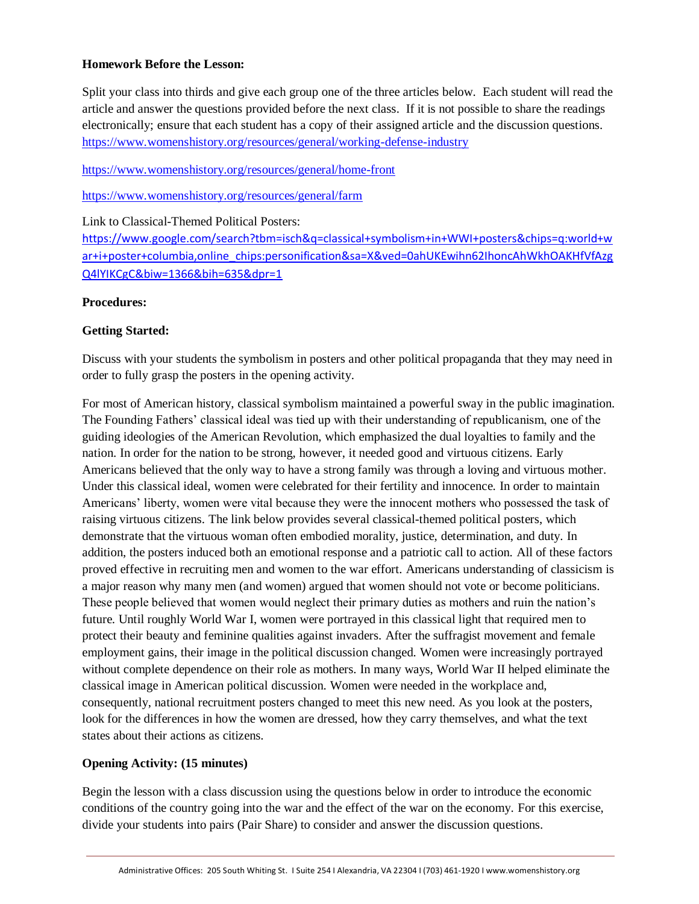#### **Homework Before the Lesson:**

Split your class into thirds and give each group one of the three articles below. Each student will read the article and answer the questions provided before the next class. If it is not possible to share the readings electronically; ensure that each student has a copy of their assigned article and the discussion questions. <https://www.womenshistory.org/resources/general/working-defense-industry>

<https://www.womenshistory.org/resources/general/home-front>

<https://www.womenshistory.org/resources/general/farm>

## Link to Classical-Themed Political Posters:

[https://www.google.com/search?tbm=isch&q=classical+symbolism+in+WWI+posters&chips=q:world+w](https://www.google.com/search?tbm=isch&q=classical+symbolism+in+WWI+posters&chips=q:world+war+i+poster+columbia,online_chips:personification&sa=X&ved=0ahUKEwihn62IhoncAhWkhOAKHfVfAzgQ4lYIKCgC&biw=1366&bih=635&dpr=1) [ar+i+poster+columbia,online\\_chips:personification&sa=X&ved=0ahUKEwihn62IhoncAhWkhOAKHfVfAzg](https://www.google.com/search?tbm=isch&q=classical+symbolism+in+WWI+posters&chips=q:world+war+i+poster+columbia,online_chips:personification&sa=X&ved=0ahUKEwihn62IhoncAhWkhOAKHfVfAzgQ4lYIKCgC&biw=1366&bih=635&dpr=1) [Q4lYIKCgC&biw=1366&bih=635&dpr=1](https://www.google.com/search?tbm=isch&q=classical+symbolism+in+WWI+posters&chips=q:world+war+i+poster+columbia,online_chips:personification&sa=X&ved=0ahUKEwihn62IhoncAhWkhOAKHfVfAzgQ4lYIKCgC&biw=1366&bih=635&dpr=1)

#### **Procedures:**

## **Getting Started:**

Discuss with your students the symbolism in posters and other political propaganda that they may need in order to fully grasp the posters in the opening activity.

For most of American history, classical symbolism maintained a powerful sway in the public imagination. The Founding Fathers' classical ideal was tied up with their understanding of republicanism, one of the guiding ideologies of the American Revolution, which emphasized the dual loyalties to family and the nation. In order for the nation to be strong, however, it needed good and virtuous citizens. Early Americans believed that the only way to have a strong family was through a loving and virtuous mother. Under this classical ideal, women were celebrated for their fertility and innocence. In order to maintain Americans' liberty, women were vital because they were the innocent mothers who possessed the task of raising virtuous citizens. The link below provides several classical-themed political posters, which demonstrate that the virtuous woman often embodied morality, justice, determination, and duty. In addition, the posters induced both an emotional response and a patriotic call to action. All of these factors proved effective in recruiting men and women to the war effort. Americans understanding of classicism is a major reason why many men (and women) argued that women should not vote or become politicians. These people believed that women would neglect their primary duties as mothers and ruin the nation's future. Until roughly World War I, women were portrayed in this classical light that required men to protect their beauty and feminine qualities against invaders. After the suffragist movement and female employment gains, their image in the political discussion changed. Women were increasingly portrayed without complete dependence on their role as mothers. In many ways, World War II helped eliminate the classical image in American political discussion. Women were needed in the workplace and, consequently, national recruitment posters changed to meet this new need. As you look at the posters, look for the differences in how the women are dressed, how they carry themselves, and what the text states about their actions as citizens.

## **Opening Activity: (15 minutes)**

Begin the lesson with a class discussion using the questions below in order to introduce the economic conditions of the country going into the war and the effect of the war on the economy. For this exercise, divide your students into pairs (Pair Share) to consider and answer the discussion questions.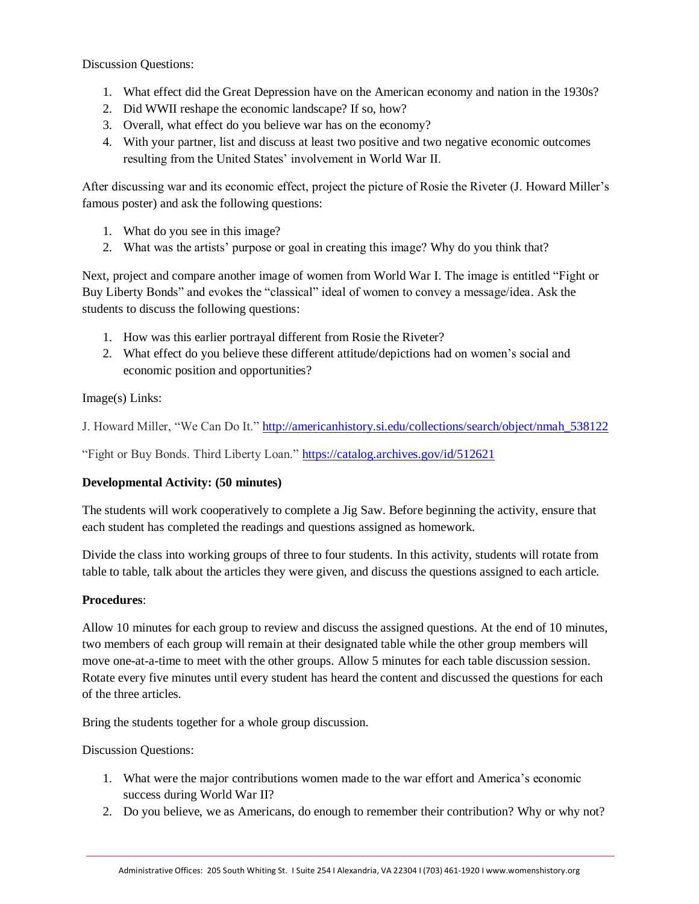Discussion Questions:

- 1. What effect did the Great Depression have on the American economy and nation in the 1930s?
- 2. Did WWII reshape the economic landscape? If so, how?
- 3. Overall, what effect do you believe war has on the economy?
- 4. With your partner, list and discuss at least two positive and two negative economic outcomes resulting from the United States' involvement in World War II.

After discussing war and its economic effect, project the picture of Rosie the Riveter (J. Howard Miller's famous poster) and ask the following questions:

- 1. What do you see in this image?
- 2. What was the artists' purpose or goal in creating this image? Why do you think that?

Next, project and compare another image of women from World War I. The image is entitled "Fight or Buy Liberty Bonds" and evokes the "classical" ideal of women to convey a message/idea. Ask the students to discuss the following questions:

- 1. How was this earlier portrayal different from Rosie the Riveter?
- 2. What effect do you believe these different attitude/depictions had on women's social and economic position and opportunities?

Image(s) Links:

J. Howard Miller, "We Can Do It." [http://americanhistory.si.edu/collections/search/object/nmah\\_538122](http://americanhistory.si.edu/collections/search/object/nmah_538122)

"Fight or Buy Bonds. Third Liberty Loan."<https://catalog.archives.gov/id/512621>

## **Developmental Activity: (50 minutes)**

The students will work cooperatively to complete a Jig Saw. Before beginning the activity, ensure that each student has completed the readings and questions assigned as homework.

Divide the class into working groups of three to four students. In this activity, students will rotate from table to table, talk about the articles they were given, and discuss the questions assigned to each article.

## **Procedures**:

Allow 10 minutes for each group to review and discuss the assigned questions. At the end of 10 minutes, two members of each group will remain at their designated table while the other group members will move one-at-a-time to meet with the other groups. Allow 5 minutes for each table discussion session. Rotate every five minutes until every student has heard the content and discussed the questions for each of the three articles.

Bring the students together for a whole group discussion.

Discussion Questions:

- 1. What were the major contributions women made to the war effort and America's economic success during World War II?
- 2. Do you believe, we as Americans, do enough to remember their contribution? Why or why not?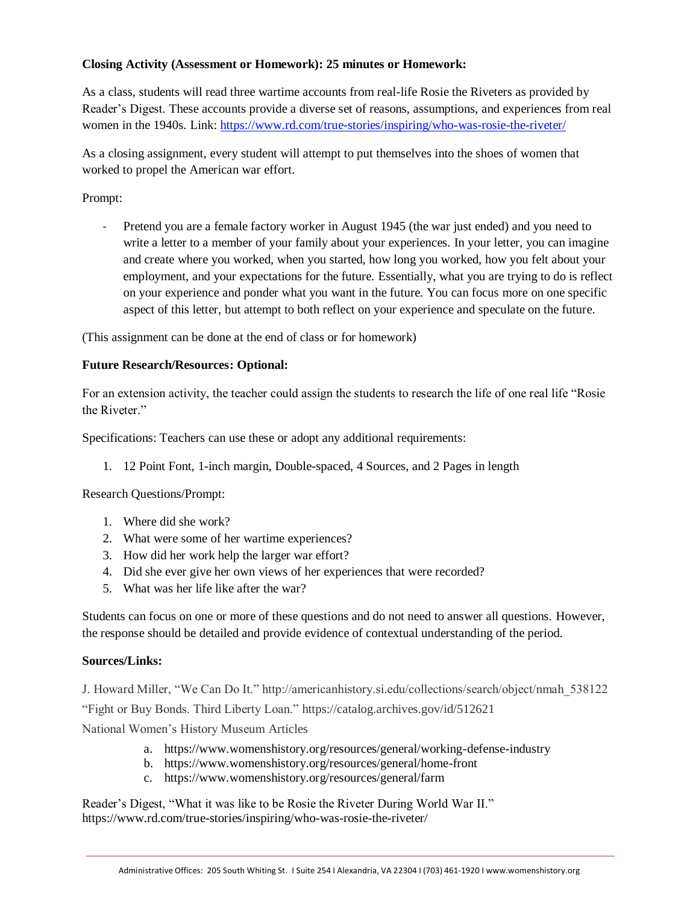## **Closing Activity (Assessment or Homework): 25 minutes or Homework:**

As a class, students will read three wartime accounts from real-life Rosie the Riveters as provided by Reader's Digest. These accounts provide a diverse set of reasons, assumptions, and experiences from real women in the 1940s. Link:<https://www.rd.com/true-stories/inspiring/who-was-rosie-the-riveter/>

As a closing assignment, every student will attempt to put themselves into the shoes of women that worked to propel the American war effort.

Prompt:

Pretend you are a female factory worker in August 1945 (the war just ended) and you need to write a letter to a member of your family about your experiences. In your letter, you can imagine and create where you worked, when you started, how long you worked, how you felt about your employment, and your expectations for the future. Essentially, what you are trying to do is reflect on your experience and ponder what you want in the future. You can focus more on one specific aspect of this letter, but attempt to both reflect on your experience and speculate on the future.

(This assignment can be done at the end of class or for homework)

# **Future Research/Resources: Optional:**

For an extension activity, the teacher could assign the students to research the life of one real life "Rosie the Riveter."

Specifications: Teachers can use these or adopt any additional requirements:

1. 12 Point Font, 1-inch margin, Double-spaced, 4 Sources, and 2 Pages in length

Research Questions/Prompt:

- 1. Where did she work?
- 2. What were some of her wartime experiences?
- 3. How did her work help the larger war effort?
- 4. Did she ever give her own views of her experiences that were recorded?
- 5. What was her life like after the war?

Students can focus on one or more of these questions and do not need to answer all questions. However, the response should be detailed and provide evidence of contextual understanding of the period.

## **Sources/Links:**

J. Howard Miller, "We Can Do It." http://americanhistory.si.edu/collections/search/object/nmah\_538122 "Fight or Buy Bonds. Third Liberty Loan." https://catalog.archives.gov/id/512621

National Women's History Museum Articles

- a. https://www.womenshistory.org/resources/general/working-defense-industry
- b. https://www.womenshistory.org/resources/general/home-front
- c. https://www.womenshistory.org/resources/general/farm

Reader's Digest, "What it was like to be Rosie the Riveter During World War II." https://www.rd.com/true-stories/inspiring/who-was-rosie-the-riveter/